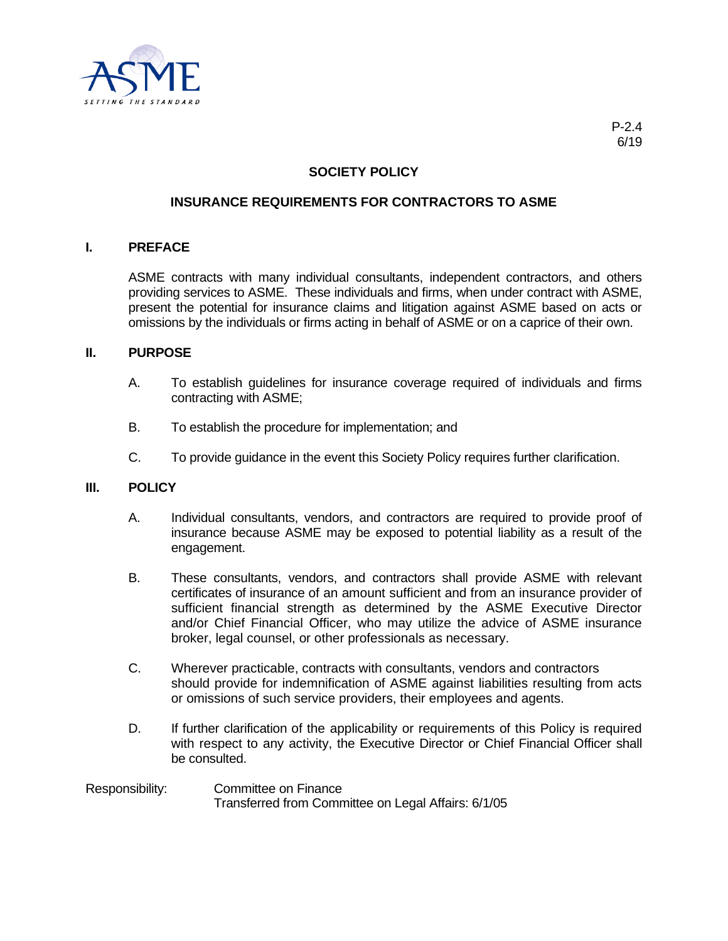

# **SOCIETY POLICY**

## **INSURANCE REQUIREMENTS FOR CONTRACTORS TO ASME**

#### **I. PREFACE**

ASME contracts with many individual consultants, independent contractors, and others providing services to ASME. These individuals and firms, when under contract with ASME, present the potential for insurance claims and litigation against ASME based on acts or omissions by the individuals or firms acting in behalf of ASME or on a caprice of their own.

### **II. PURPOSE**

- A. To establish guidelines for insurance coverage required of individuals and firms contracting with ASME;
- B. To establish the procedure for implementation; and
- C. To provide guidance in the event this Society Policy requires further clarification.

#### **III. POLICY**

- A. Individual consultants, vendors, and contractors are required to provide proof of insurance because ASME may be exposed to potential liability as a result of the engagement.
- B. These consultants, vendors, and contractors shall provide ASME with relevant certificates of insurance of an amount sufficient and from an insurance provider of sufficient financial strength as determined by the ASME Executive Director and/or Chief Financial Officer, who may utilize the advice of ASME insurance broker, legal counsel, or other professionals as necessary.
- C. Wherever practicable, contracts with consultants, vendors and contractors should provide for indemnification of ASME against liabilities resulting from acts or omissions of such service providers, their employees and agents.
- D. If further clarification of the applicability or requirements of this Policy is required with respect to any activity, the Executive Director or Chief Financial Officer shall be consulted.

## Responsibility: Committee on Finance Transferred from Committee on Legal Affairs: 6/1/05